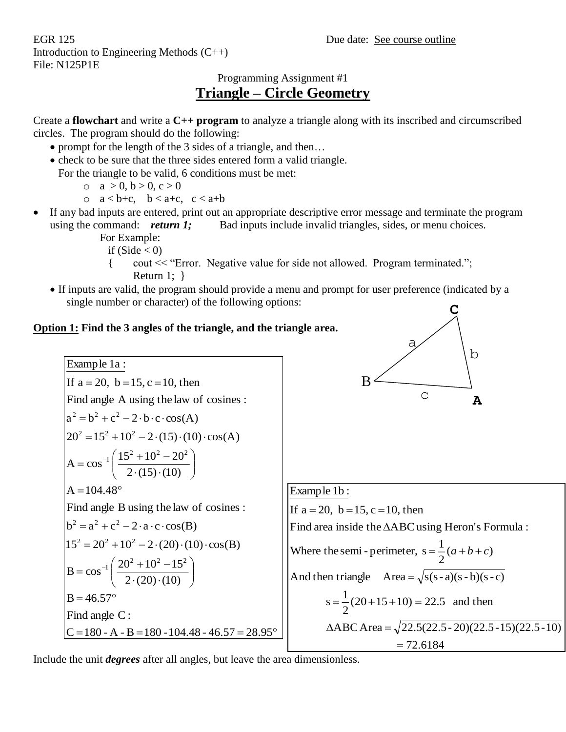EGR 125 Due date: See course outline Introduction to Engineering Methods (C++) File: N125P1E

# Programming Assignment #1 **Triangle – Circle Geometry**

Create a **flowchart** and write a **C++ program** to analyze a triangle along with its inscribed and circumscribed circles. The program should do the following:

- prompt for the length of the 3 sides of a triangle, and then...
- check to be sure that the three sides entered form a valid triangle.

For the triangle to be valid, 6 conditions must be met:

- $o \quad a > 0, b > 0, c > 0$
- o  $a < b+c$ ,  $b < a+c$ ,  $c < a+b$
- If any bad inputs are entered, print out an appropriate descriptive error message and terminate the program using the command: *return 1;* Bad inputs include invalid triangles, sides, or menu choices.
	- For Example:
		- if  $(Side < 0)$
		- { cout << "Error. Negative value for side not allowed. Program terminated."; Return 1: }
	- If inputs are valid, the program should provide a menu and prompt for user preference (indicated by a single number or character) of the following options: **C**

### **Option 1: Find the 3 angles of the triangle, and the triangle area.**

**A** a b c B 72.6184  $\triangle$ ABC Area =  $\sqrt{22.5(22.5-20)(22.5-15)(22.5-10)}$  $\frac{1}{2}(20+15+10) = 22.5$  and then  $s = -20 + 15 + 10 = 0$ And then triangle  $Area = \sqrt{s(s-a)(s-b)(s-c)}$ Where the semi - perimeter,  $s = \frac{1}{2}(a+b+c)$ Find area inside the  $\Delta\text{ABC}$  using Heron's Formula : If  $a = 20$ ,  $b = 15$ ,  $c = 10$ , then Example 1b : C = 180 - A - B = 180 - 104.48 - 46.57 = 28.95° Find angle C :  $B = 46.57^{\circ}$  $2 \cdot (20) \cdot (10)$  $B = \cos^{-1} \left( \frac{20^2 + 10^2 - 15^2}{\cdots} \right)$  $15^2 = 20^2 + 10^2 - 2 \cdot (20) \cdot (10) \cdot \cos(B)$  $b^2 = a^2 + c^2 - 2 \cdot a \cdot c \cdot cos(B)$ Find angle B using the law of cosines :  $A = 104.48^{\circ}$  $2 \cdot (15) \cdot (10)$  $A = cos^{-1} \left( \frac{15^2 + 10^2 - 20^2}{15} \right)$  $20^2 = 15^2 + 10^2 - 2 \cdot (15) \cdot (10) \cdot \cos(A)$  $a^2 = b^2 + c^2 - 2 \cdot b \cdot c \cdot cos(A)$ Find angle A using the law of cosines : If  $a = 20$ ,  $b = 15$ ,  $c = 10$ , then Example 1a : J  $\setminus$  $\overline{\mathcal{C}}$ ſ  $\cdot$  (  $\angle$  )  $\cdot$  $=$  cos<sup>-1</sup>  $\left( \frac{20^2 + 10^2 - 1}{2} \right)$ J  $\setminus$  $\setminus$ ſ  $\cdot$  (  $\pm$  . )  $\pm$  $=\cos^{-1}\left(\frac{15^{2}+10^{2}-1}{2}\right)$ 

Include the unit *degrees* after all angles, but leave the area dimensionless.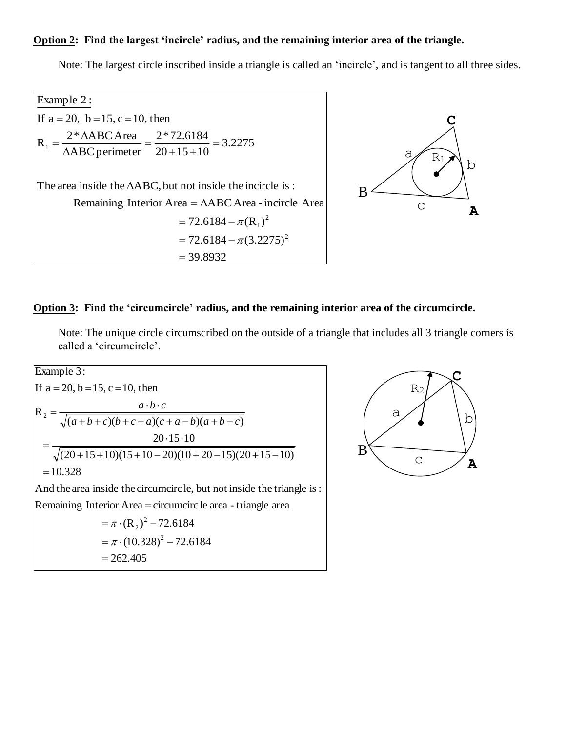#### **Option 2: Find the largest 'incircle' radius, and the remaining interior area of the triangle.**

Note: The largest circle inscribed inside a triangle is called an 'incircle', and is tangent to all three sides.

39.8932  $= 72.6184 - \pi (3.2275)^2$  $72.6184 - \pi (R_1)^2$ Remaining Interior Area =  $\triangle ABC$  Area - incircle Area The area inside the  $\triangle ABC$ , but not inside the incircle is : 3.2275  $20 + 15 + 10$ 2\*72.6184 ABCperimeter  $R_1 = \frac{2 * \triangle ABC \text{ Area}}{\triangle ABC \text{ perimeter}} = \frac{2 * 72.6184}{20 + 15 + 10} =$ If  $a = 20$ ,  $b = 15$ ,  $c = 10$ , then Example 2 :  $= 72.6184 - \pi (R_1)$  $=\frac{2*\Delta}{\sqrt{2}}$ 



#### **Option 3: Find the 'circumcircle' radius, and the remaining interior area of the circumcircle.**

Note: The unique circle circumscribed on the outside of a triangle that includes all 3 triangle corners is called a 'circumcircle'.

 $=\pi \cdot (10.328)^2 - 72.6184$  $(R_2)^2 - 72.6184$ Remaining Interior Area = circumcirc le area - triangle area And the area inside the circumcirc le, but not inside the triangle is:  $=10.328$  $(20+15+10)(15+10-20)(10+20-15)(20+15-10)$ 20 15 10  $(a+b+c)(b+c-a)(c+a-b)(a+b-c)$  $R_2 = \frac{a}{\sqrt{(a+b+c)(b+c-a)(c+a-b)(a+b-c)}}$ If  $a = 20$ ,  $b = 15$ ,  $c = 10$ , then Example 3:  $= \pi \cdot (R_2)^{-} -$ ═  $=\frac{a \cdot b \cdot c}{\sqrt{(a+b+c)(b+c-a)(c+a-b)(a+b-c)}}$  $a \cdot b \cdot c$ 

262.405